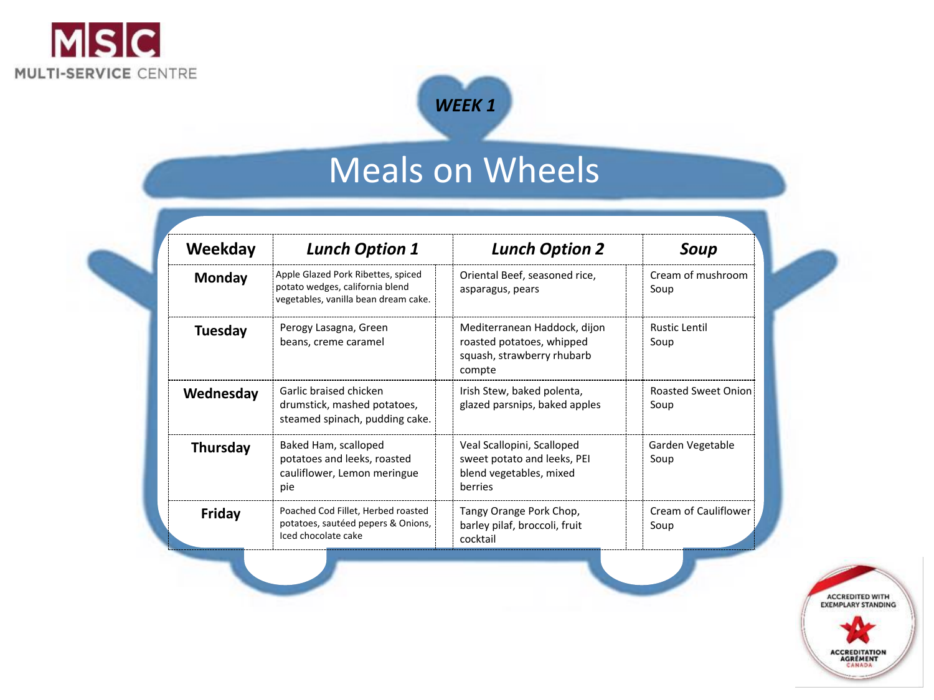

## Meals on Wheels

*WEEK 1*

| Weekday         | <b>Lunch Option 1</b>                                                                                         |  | <b>Lunch Option 2</b>                                                                             |  | Soup                               |  |
|-----------------|---------------------------------------------------------------------------------------------------------------|--|---------------------------------------------------------------------------------------------------|--|------------------------------------|--|
| Monday          | Apple Glazed Pork Ribettes, spiced<br>potato wedges, california blend<br>vegetables, vanilla bean dream cake. |  | Oriental Beef, seasoned rice,<br>asparagus, pears                                                 |  | Cream of mushroom<br>Soup          |  |
| <b>Tuesday</b>  | Perogy Lasagna, Green<br>beans, creme caramel                                                                 |  | Mediterranean Haddock, dijon<br>roasted potatoes, whipped<br>squash, strawberry rhubarb<br>compte |  | <b>Rustic Lentil</b><br>Soup       |  |
| Wednesday       | Garlic braised chicken<br>drumstick, mashed potatoes,<br>steamed spinach, pudding cake.                       |  | Irish Stew, baked polenta,<br>glazed parsnips, baked apples                                       |  | <b>Roasted Sweet Onion</b><br>Soup |  |
| <b>Thursday</b> | Baked Ham, scalloped<br>potatoes and leeks, roasted<br>cauliflower, Lemon meringue<br>pie                     |  | Veal Scallopini, Scalloped<br>sweet potato and leeks, PEI<br>blend vegetables, mixed<br>berries   |  | Garden Vegetable<br>Soup           |  |
| Friday          | Poached Cod Fillet, Herbed roasted<br>potatoes, sautéed pepers & Onions,<br>Iced chocolate cake               |  | Tangy Orange Pork Chop,<br>barley pilaf, broccoli, fruit<br>cocktail                              |  | Cream of Cauliflower<br>Soup       |  |

ACCREDITED WITH<br>EXEMPLARY STANDING **ACCREDITATION<br>AGRÉMENT**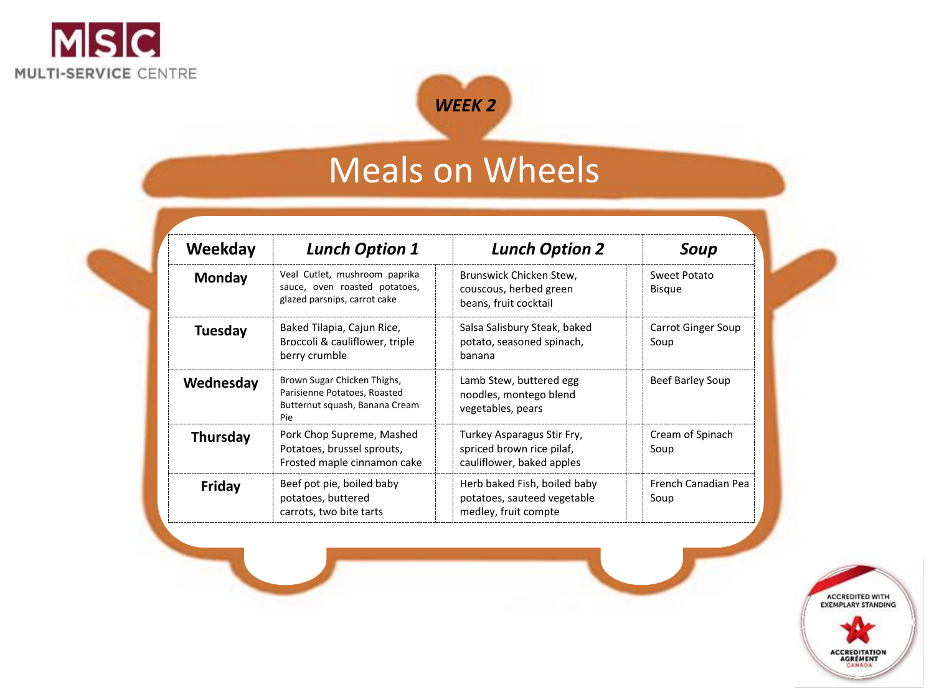



## Meals on Wheels

| Weekday         | <b>Lunch Option 1</b>                                                                                |  | <b>Lunch Option 2</b>                                                                |  | Soup                              |
|-----------------|------------------------------------------------------------------------------------------------------|--|--------------------------------------------------------------------------------------|--|-----------------------------------|
| Monday          | Veal Cutlet, mushroom paprika<br>sauce, oven roasted potatoes,<br>glazed parsnips, carrot cake       |  | Brunswick Chicken Stew,<br>couscous, herbed green<br>beans, fruit cocktail           |  | Sweet Potato<br><b>Bisque</b>     |
| Tuesday         | Baked Tilapia, Cajun Rice,<br>Broccoli & cauliflower, triple<br>berry crumble                        |  | Salsa Salisbury Steak, baked<br>potato, seasoned spinach,<br>banana                  |  | <b>Carrot Ginger Soup</b><br>Soup |
| Wednesday       | Brown Sugar Chicken Thighs,<br>Parisienne Potatoes, Roasted<br>Butternut squash, Banana Cream<br>Pie |  | Lamb Stew, buttered egg<br>noodles, montego blend<br>vegetables, pears               |  | Beef Barley Soup                  |
| <b>Thursday</b> | Pork Chop Supreme, Mashed<br>Potatoes, brussel sprouts,<br>Frosted maple cinnamon cake               |  | Turkey Asparagus Stir Fry,<br>spriced brown rice pilaf,<br>cauliflower, baked apples |  | Cream of Spinach<br>Soup          |
| Friday          | Beef pot pie, boiled baby<br>potatoes, buttered<br>carrots, two bite tarts                           |  | Herb baked Fish, boiled baby<br>potatoes, sauteed vegetable<br>medley, fruit compte  |  | French Canadian Pea<br>Soup       |